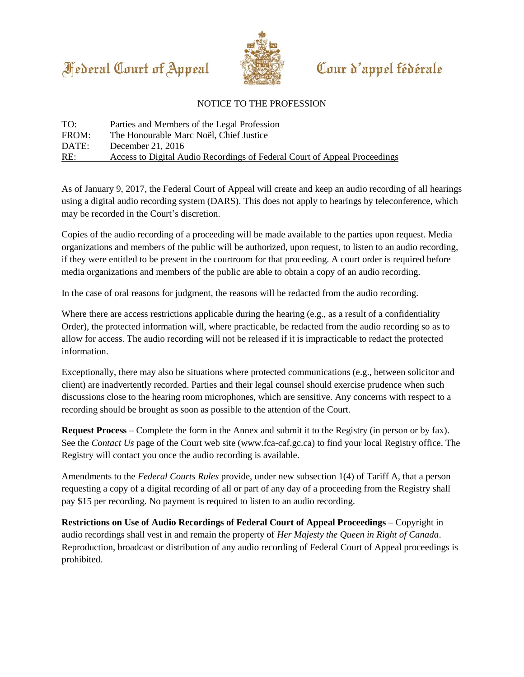



## Cour d'appel fédérale

## NOTICE TO THE PROFESSION

| TO:   | Parties and Members of the Legal Profession                               |
|-------|---------------------------------------------------------------------------|
| FROM: | The Honourable Marc Noël, Chief Justice                                   |
| DATE: | December 21, $2016$                                                       |
| RE:   | Access to Digital Audio Recordings of Federal Court of Appeal Proceedings |

As of January 9, 2017, the Federal Court of Appeal will create and keep an audio recording of all hearings using a digital audio recording system (DARS). This does not apply to hearings by teleconference, which may be recorded in the Court's discretion.

Copies of the audio recording of a proceeding will be made available to the parties upon request. Media organizations and members of the public will be authorized, upon request, to listen to an audio recording, if they were entitled to be present in the courtroom for that proceeding. A court order is required before media organizations and members of the public are able to obtain a copy of an audio recording.

In the case of oral reasons for judgment, the reasons will be redacted from the audio recording.

Where there are access restrictions applicable during the hearing (e.g., as a result of a confidentiality Order), the protected information will, where practicable, be redacted from the audio recording so as to allow for access. The audio recording will not be released if it is impracticable to redact the protected information.

Exceptionally, there may also be situations where protected communications (e.g., between solicitor and client) are inadvertently recorded. Parties and their legal counsel should exercise prudence when such discussions close to the hearing room microphones, which are sensitive. Any concerns with respect to a recording should be brought as soon as possible to the attention of the Court.

**Request Process** – Complete the form in the Annex and submit it to the Registry (in person or by fax). See the *Contact Us* page of the Court web site (www.fca-caf.gc.ca) to find your local Registry office. The Registry will contact you once the audio recording is available.

Amendments to the *Federal Courts Rules* provide, under new subsection 1(4) of Tariff A, that a person requesting a copy of a digital recording of all or part of any day of a proceeding from the Registry shall pay \$15 per recording. No payment is required to listen to an audio recording.

**Restrictions on Use of Audio Recordings of Federal Court of Appeal Proceedings** – Copyright in audio recordings shall vest in and remain the property of *Her Majesty the Queen in Right of Canada*. Reproduction, broadcast or distribution of any audio recording of Federal Court of Appeal proceedings is prohibited.